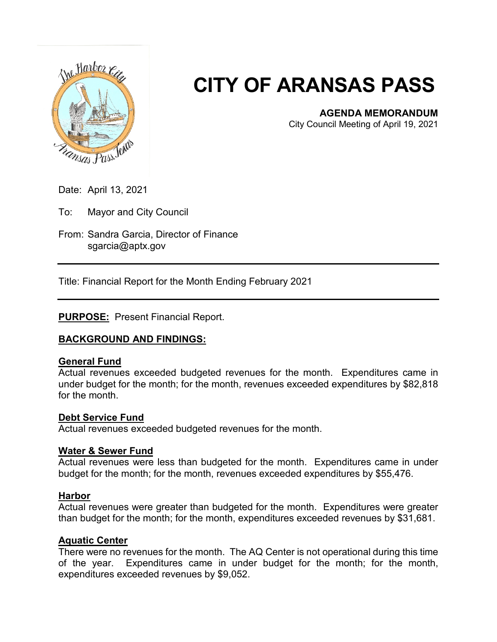

# **CITY OF ARANSAS PASS**

# **AGENDA MEMORANDUM**

City Council Meeting of April 19, 2021

Date: April 13, 2021

To: Mayor and City Council

From: Sandra Garcia, Director of Finance sgarcia@aptx.gov

Title: Financial Report for the Month Ending February 2021

# **PURPOSE:** Present Financial Report.

# **BACKGROUND AND FINDINGS:**

# **General Fund**

Actual revenues exceeded budgeted revenues for the month. Expenditures came in under budget for the month; for the month, revenues exceeded expenditures by \$82,818 for the month.

#### **Debt Service Fund**

Actual revenues exceeded budgeted revenues for the month.

# **Water & Sewer Fund**

Actual revenues were less than budgeted for the month. Expenditures came in under budget for the month; for the month, revenues exceeded expenditures by \$55,476.

#### **Harbor**

Actual revenues were greater than budgeted for the month. Expenditures were greater than budget for the month; for the month, expenditures exceeded revenues by \$31,681.

# **Aquatic Center**

There were no revenues for the month. The AQ Center is not operational during this time of the year. Expenditures came in under budget for the month; for the month, expenditures exceeded revenues by \$9,052.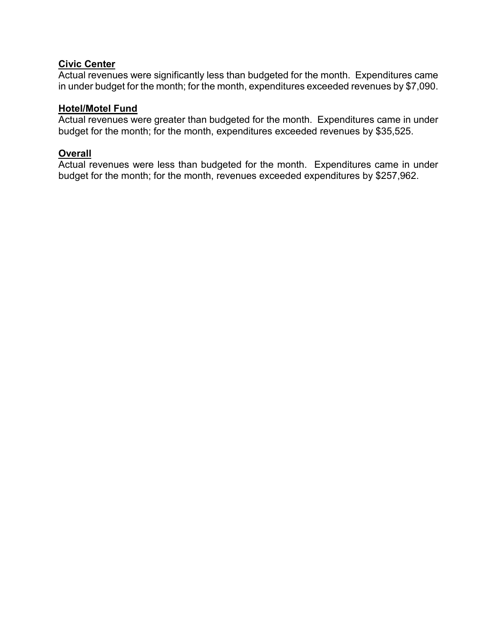# **Civic Center**

Actual revenues were significantly less than budgeted for the month. Expenditures came in under budget for the month; for the month, expenditures exceeded revenues by \$7,090.

# **Hotel/Motel Fund**

Actual revenues were greater than budgeted for the month. Expenditures came in under budget for the month; for the month, expenditures exceeded revenues by \$35,525.

# **Overall**

Actual revenues were less than budgeted for the month. Expenditures came in under budget for the month; for the month, revenues exceeded expenditures by \$257,962.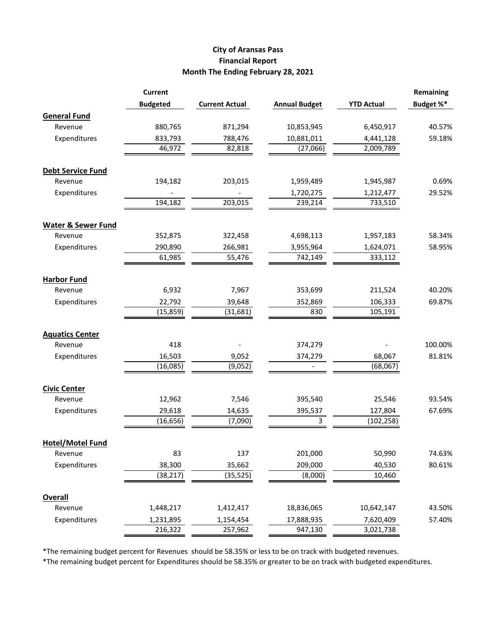#### **City of Aransas Pass Financial Report Month The Ending February 28, 2021**

| <b>Budgeted</b><br>Budget %*<br><b>Current Actual</b><br><b>Annual Budget</b><br><b>YTD Actual</b><br><b>General Fund</b><br>880,765<br>871,294<br>10,853,945<br>6,450,917<br>40.57%<br>Revenue<br>59.18%<br>Expenditures<br>833,793<br>788,476<br>10,881,011<br>4,441,128<br>82,818<br>2,009,789<br>46,972<br>(27,066)<br><b>Debt Service Fund</b><br>Revenue<br>203,015<br>0.69%<br>194,182<br>1,959,489<br>1,945,987<br>Expenditures<br>1,720,275<br>29.52%<br>1,212,477<br>194,182<br>203,015<br>239,214<br>733,510<br><b>Water &amp; Sewer Fund</b><br>352,875<br>58.34%<br>Revenue<br>322,458<br>4,698,113<br>1,957,183<br>Expenditures<br>290,890<br>266,981<br>3,955,964<br>1,624,071<br>58.95%<br>61,985<br>55,476<br>742,149<br>333,112<br><b>Harbor Fund</b><br>6,932<br>7,967<br>353,699<br>211,524<br>40.20%<br>Revenue<br>Expenditures<br>22,792<br>39,648<br>352,869<br>106,333<br>69.87%<br>830<br>105,191<br>(15, 859)<br>(31, 681)<br><b>Aquatics Center</b><br>418<br>Revenue<br>100.00%<br>374,279<br>Expenditures<br>16,503<br>9,052<br>68,067<br>81.81%<br>374,279<br>(16,085)<br>(9,052)<br>(68,067)<br><b>Civic Center</b><br>7,546<br>395,540<br>25,546<br>93.54%<br>Revenue<br>12,962<br>29,618<br>Expenditures<br>14,635<br>395,537<br>127,804<br>67.69%<br>(16, 656)<br>3<br>(7,090)<br>(102, 258)<br><b>Hotel/Motel Fund</b><br>83<br>137<br>201,000<br>50,990<br>74.63%<br>Revenue<br>Expenditures<br>38,300<br>209,000<br>35,662<br>40,530<br>(38, 217)<br>(35, 525)<br>10,460<br>(8,000)<br><b>Overall</b><br>1,448,217<br>1,412,417<br>18,836,065<br>10,642,147<br>43.50%<br>Revenue<br>Expenditures<br>17,888,935<br>7,620,409<br>57.40%<br>1,231,895<br>1,154,454 |  | <b>Current</b> |         |         |           | Remaining |
|------------------------------------------------------------------------------------------------------------------------------------------------------------------------------------------------------------------------------------------------------------------------------------------------------------------------------------------------------------------------------------------------------------------------------------------------------------------------------------------------------------------------------------------------------------------------------------------------------------------------------------------------------------------------------------------------------------------------------------------------------------------------------------------------------------------------------------------------------------------------------------------------------------------------------------------------------------------------------------------------------------------------------------------------------------------------------------------------------------------------------------------------------------------------------------------------------------------------------------------------------------------------------------------------------------------------------------------------------------------------------------------------------------------------------------------------------------------------------------------------------------------------------------------------------------------------------------------------------------------------------------------------------------------------------------------------------|--|----------------|---------|---------|-----------|-----------|
|                                                                                                                                                                                                                                                                                                                                                                                                                                                                                                                                                                                                                                                                                                                                                                                                                                                                                                                                                                                                                                                                                                                                                                                                                                                                                                                                                                                                                                                                                                                                                                                                                                                                                                      |  |                |         |         |           |           |
|                                                                                                                                                                                                                                                                                                                                                                                                                                                                                                                                                                                                                                                                                                                                                                                                                                                                                                                                                                                                                                                                                                                                                                                                                                                                                                                                                                                                                                                                                                                                                                                                                                                                                                      |  |                |         |         |           |           |
|                                                                                                                                                                                                                                                                                                                                                                                                                                                                                                                                                                                                                                                                                                                                                                                                                                                                                                                                                                                                                                                                                                                                                                                                                                                                                                                                                                                                                                                                                                                                                                                                                                                                                                      |  |                |         |         |           |           |
|                                                                                                                                                                                                                                                                                                                                                                                                                                                                                                                                                                                                                                                                                                                                                                                                                                                                                                                                                                                                                                                                                                                                                                                                                                                                                                                                                                                                                                                                                                                                                                                                                                                                                                      |  |                |         |         |           |           |
|                                                                                                                                                                                                                                                                                                                                                                                                                                                                                                                                                                                                                                                                                                                                                                                                                                                                                                                                                                                                                                                                                                                                                                                                                                                                                                                                                                                                                                                                                                                                                                                                                                                                                                      |  |                |         |         |           |           |
|                                                                                                                                                                                                                                                                                                                                                                                                                                                                                                                                                                                                                                                                                                                                                                                                                                                                                                                                                                                                                                                                                                                                                                                                                                                                                                                                                                                                                                                                                                                                                                                                                                                                                                      |  |                |         |         |           |           |
|                                                                                                                                                                                                                                                                                                                                                                                                                                                                                                                                                                                                                                                                                                                                                                                                                                                                                                                                                                                                                                                                                                                                                                                                                                                                                                                                                                                                                                                                                                                                                                                                                                                                                                      |  |                |         |         |           |           |
|                                                                                                                                                                                                                                                                                                                                                                                                                                                                                                                                                                                                                                                                                                                                                                                                                                                                                                                                                                                                                                                                                                                                                                                                                                                                                                                                                                                                                                                                                                                                                                                                                                                                                                      |  |                |         |         |           |           |
|                                                                                                                                                                                                                                                                                                                                                                                                                                                                                                                                                                                                                                                                                                                                                                                                                                                                                                                                                                                                                                                                                                                                                                                                                                                                                                                                                                                                                                                                                                                                                                                                                                                                                                      |  |                |         |         |           |           |
|                                                                                                                                                                                                                                                                                                                                                                                                                                                                                                                                                                                                                                                                                                                                                                                                                                                                                                                                                                                                                                                                                                                                                                                                                                                                                                                                                                                                                                                                                                                                                                                                                                                                                                      |  |                |         |         |           |           |
|                                                                                                                                                                                                                                                                                                                                                                                                                                                                                                                                                                                                                                                                                                                                                                                                                                                                                                                                                                                                                                                                                                                                                                                                                                                                                                                                                                                                                                                                                                                                                                                                                                                                                                      |  |                |         |         |           |           |
|                                                                                                                                                                                                                                                                                                                                                                                                                                                                                                                                                                                                                                                                                                                                                                                                                                                                                                                                                                                                                                                                                                                                                                                                                                                                                                                                                                                                                                                                                                                                                                                                                                                                                                      |  |                |         |         |           |           |
|                                                                                                                                                                                                                                                                                                                                                                                                                                                                                                                                                                                                                                                                                                                                                                                                                                                                                                                                                                                                                                                                                                                                                                                                                                                                                                                                                                                                                                                                                                                                                                                                                                                                                                      |  |                |         |         |           |           |
|                                                                                                                                                                                                                                                                                                                                                                                                                                                                                                                                                                                                                                                                                                                                                                                                                                                                                                                                                                                                                                                                                                                                                                                                                                                                                                                                                                                                                                                                                                                                                                                                                                                                                                      |  |                |         |         |           |           |
|                                                                                                                                                                                                                                                                                                                                                                                                                                                                                                                                                                                                                                                                                                                                                                                                                                                                                                                                                                                                                                                                                                                                                                                                                                                                                                                                                                                                                                                                                                                                                                                                                                                                                                      |  |                |         |         |           |           |
|                                                                                                                                                                                                                                                                                                                                                                                                                                                                                                                                                                                                                                                                                                                                                                                                                                                                                                                                                                                                                                                                                                                                                                                                                                                                                                                                                                                                                                                                                                                                                                                                                                                                                                      |  |                |         |         |           |           |
|                                                                                                                                                                                                                                                                                                                                                                                                                                                                                                                                                                                                                                                                                                                                                                                                                                                                                                                                                                                                                                                                                                                                                                                                                                                                                                                                                                                                                                                                                                                                                                                                                                                                                                      |  |                |         |         |           |           |
|                                                                                                                                                                                                                                                                                                                                                                                                                                                                                                                                                                                                                                                                                                                                                                                                                                                                                                                                                                                                                                                                                                                                                                                                                                                                                                                                                                                                                                                                                                                                                                                                                                                                                                      |  |                |         |         |           |           |
|                                                                                                                                                                                                                                                                                                                                                                                                                                                                                                                                                                                                                                                                                                                                                                                                                                                                                                                                                                                                                                                                                                                                                                                                                                                                                                                                                                                                                                                                                                                                                                                                                                                                                                      |  |                |         |         |           |           |
|                                                                                                                                                                                                                                                                                                                                                                                                                                                                                                                                                                                                                                                                                                                                                                                                                                                                                                                                                                                                                                                                                                                                                                                                                                                                                                                                                                                                                                                                                                                                                                                                                                                                                                      |  |                |         |         |           |           |
|                                                                                                                                                                                                                                                                                                                                                                                                                                                                                                                                                                                                                                                                                                                                                                                                                                                                                                                                                                                                                                                                                                                                                                                                                                                                                                                                                                                                                                                                                                                                                                                                                                                                                                      |  |                |         |         |           |           |
|                                                                                                                                                                                                                                                                                                                                                                                                                                                                                                                                                                                                                                                                                                                                                                                                                                                                                                                                                                                                                                                                                                                                                                                                                                                                                                                                                                                                                                                                                                                                                                                                                                                                                                      |  |                |         |         |           |           |
|                                                                                                                                                                                                                                                                                                                                                                                                                                                                                                                                                                                                                                                                                                                                                                                                                                                                                                                                                                                                                                                                                                                                                                                                                                                                                                                                                                                                                                                                                                                                                                                                                                                                                                      |  |                |         |         |           |           |
|                                                                                                                                                                                                                                                                                                                                                                                                                                                                                                                                                                                                                                                                                                                                                                                                                                                                                                                                                                                                                                                                                                                                                                                                                                                                                                                                                                                                                                                                                                                                                                                                                                                                                                      |  |                |         |         |           |           |
|                                                                                                                                                                                                                                                                                                                                                                                                                                                                                                                                                                                                                                                                                                                                                                                                                                                                                                                                                                                                                                                                                                                                                                                                                                                                                                                                                                                                                                                                                                                                                                                                                                                                                                      |  |                |         |         |           |           |
|                                                                                                                                                                                                                                                                                                                                                                                                                                                                                                                                                                                                                                                                                                                                                                                                                                                                                                                                                                                                                                                                                                                                                                                                                                                                                                                                                                                                                                                                                                                                                                                                                                                                                                      |  |                |         |         |           |           |
|                                                                                                                                                                                                                                                                                                                                                                                                                                                                                                                                                                                                                                                                                                                                                                                                                                                                                                                                                                                                                                                                                                                                                                                                                                                                                                                                                                                                                                                                                                                                                                                                                                                                                                      |  |                |         |         |           |           |
|                                                                                                                                                                                                                                                                                                                                                                                                                                                                                                                                                                                                                                                                                                                                                                                                                                                                                                                                                                                                                                                                                                                                                                                                                                                                                                                                                                                                                                                                                                                                                                                                                                                                                                      |  |                |         |         |           |           |
|                                                                                                                                                                                                                                                                                                                                                                                                                                                                                                                                                                                                                                                                                                                                                                                                                                                                                                                                                                                                                                                                                                                                                                                                                                                                                                                                                                                                                                                                                                                                                                                                                                                                                                      |  |                |         |         |           |           |
|                                                                                                                                                                                                                                                                                                                                                                                                                                                                                                                                                                                                                                                                                                                                                                                                                                                                                                                                                                                                                                                                                                                                                                                                                                                                                                                                                                                                                                                                                                                                                                                                                                                                                                      |  |                |         |         |           |           |
|                                                                                                                                                                                                                                                                                                                                                                                                                                                                                                                                                                                                                                                                                                                                                                                                                                                                                                                                                                                                                                                                                                                                                                                                                                                                                                                                                                                                                                                                                                                                                                                                                                                                                                      |  |                |         |         |           | 80.61%    |
|                                                                                                                                                                                                                                                                                                                                                                                                                                                                                                                                                                                                                                                                                                                                                                                                                                                                                                                                                                                                                                                                                                                                                                                                                                                                                                                                                                                                                                                                                                                                                                                                                                                                                                      |  |                |         |         |           |           |
|                                                                                                                                                                                                                                                                                                                                                                                                                                                                                                                                                                                                                                                                                                                                                                                                                                                                                                                                                                                                                                                                                                                                                                                                                                                                                                                                                                                                                                                                                                                                                                                                                                                                                                      |  |                |         |         |           |           |
|                                                                                                                                                                                                                                                                                                                                                                                                                                                                                                                                                                                                                                                                                                                                                                                                                                                                                                                                                                                                                                                                                                                                                                                                                                                                                                                                                                                                                                                                                                                                                                                                                                                                                                      |  |                |         |         |           |           |
|                                                                                                                                                                                                                                                                                                                                                                                                                                                                                                                                                                                                                                                                                                                                                                                                                                                                                                                                                                                                                                                                                                                                                                                                                                                                                                                                                                                                                                                                                                                                                                                                                                                                                                      |  |                |         |         |           |           |
|                                                                                                                                                                                                                                                                                                                                                                                                                                                                                                                                                                                                                                                                                                                                                                                                                                                                                                                                                                                                                                                                                                                                                                                                                                                                                                                                                                                                                                                                                                                                                                                                                                                                                                      |  | 216,322        | 257,962 | 947,130 | 3,021,738 |           |

\*The remaining budget percent for Revenues should be 58.35% or less to be on track with budgeted revenues.

\*The remaining budget percent for Expenditures should be 58.35% or greater to be on track with budgeted expenditures.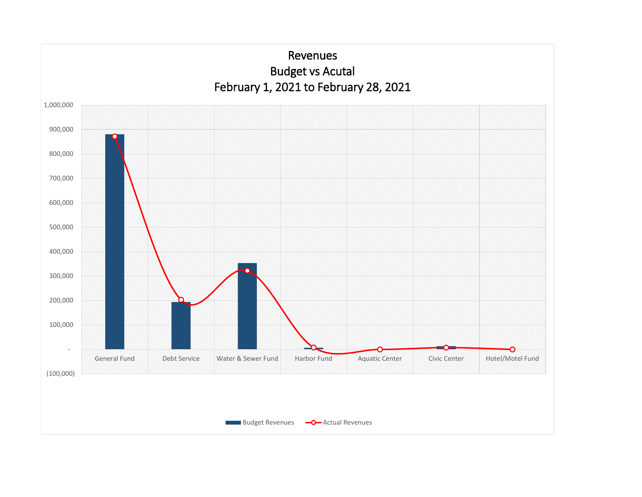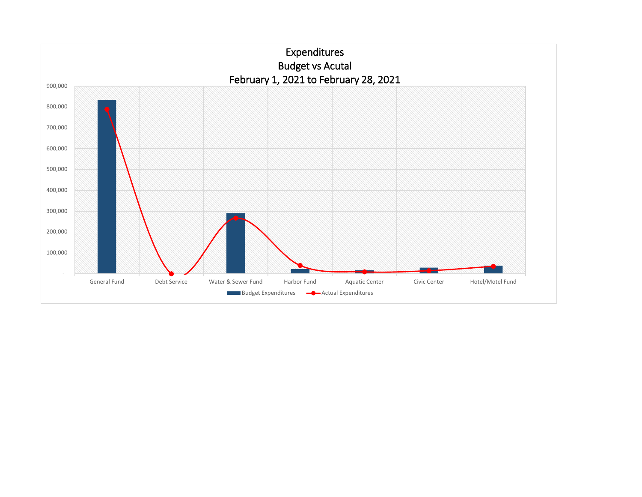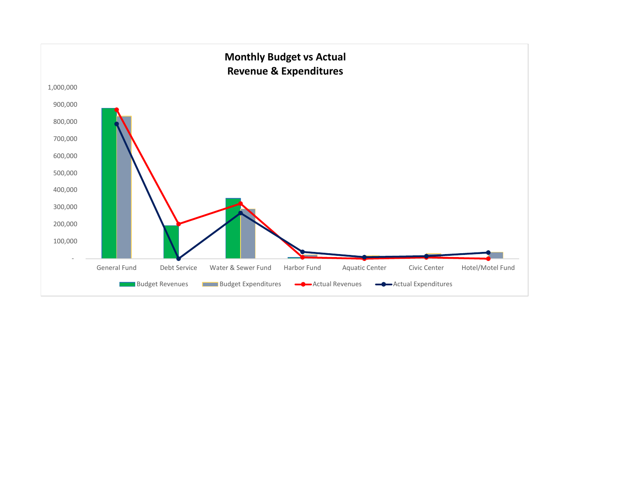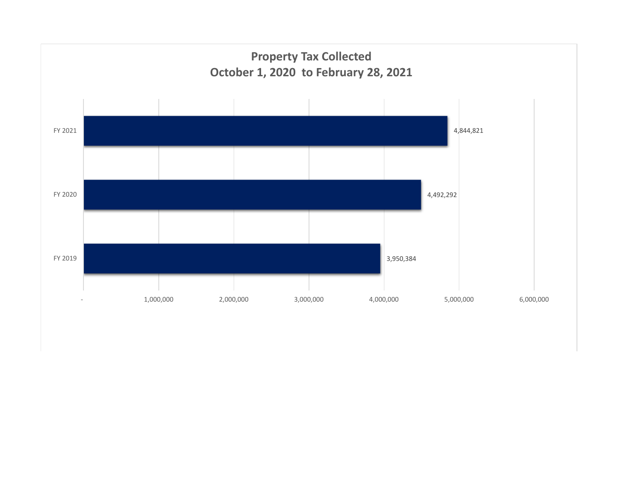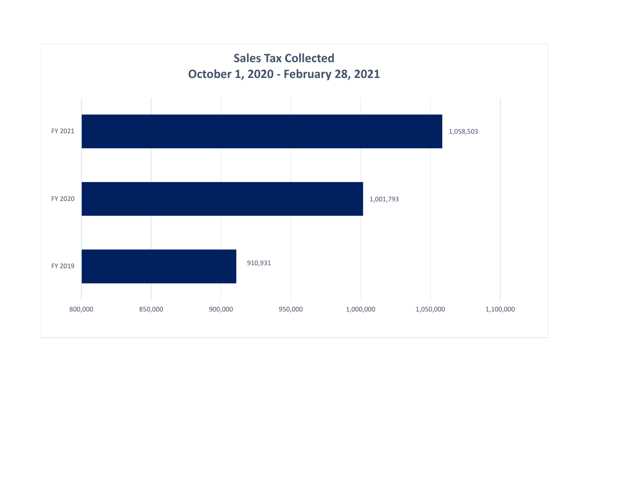